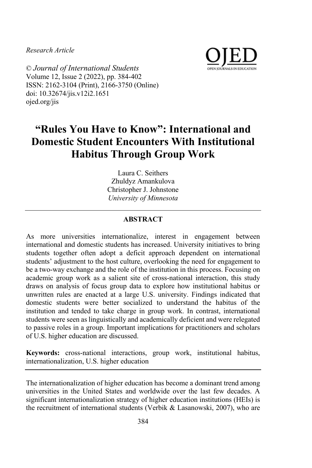*Research Article*



© *Journal of International Students* Volume 12, Issue 2 (2022), pp. 384-402 ISSN: 2162-3104 (Print), 2166-3750 (Online) doi: 10.32674/jis.v12i2.1651 ojed.org/jis

# **"Rules You Have to Know": International and Domestic Student Encounters With Institutional Habitus Through Group Work**

Laura C. Seithers Zhuldyz Amankulova Christopher J. Johnstone *University of Minnesota* 

## **ABSTRACT**

As more universities internationalize, interest in engagement between international and domestic students has increased. University initiatives to bring students together often adopt a deficit approach dependent on international students' adjustment to the host culture, overlooking the need for engagement to be a two-way exchange and the role of the institution in this process. Focusing on academic group work as a salient site of cross-national interaction, this study draws on analysis of focus group data to explore how institutional habitus or unwritten rules are enacted at a large U.S. university. Findings indicated that domestic students were better socialized to understand the habitus of the institution and tended to take charge in group work. In contrast, international students were seen as linguistically and academically deficient and were relegated to passive roles in a group. Important implications for practitioners and scholars of U.S. higher education are discussed.

**Keywords:** cross-national interactions, group work, institutional habitus, internationalization, U.S. higher education

The internationalization of higher education has become a dominant trend among universities in the United States and worldwide over the last few decades. A significant internationalization strategy of higher education institutions (HEIs) is the recruitment of international students (Verbik & Lasanowski, 2007), who are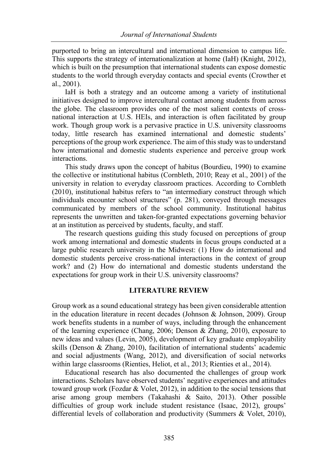purported to bring an intercultural and international dimension to campus life. This supports the strategy of internationalization at home (IaH) (Knight, 2012), which is built on the presumption that international students can expose domestic students to the world through everyday contacts and special events (Crowther et al., 2001).

IaH is both a strategy and an outcome among a variety of institutional initiatives designed to improve intercultural contact among students from across the globe. The classroom provides one of the most salient contexts of crossnational interaction at U.S. HEIs, and interaction is often facilitated by group work. Though group work is a pervasive practice in U.S. university classrooms today, little research has examined international and domestic students' perceptions of the group work experience. The aim of this study was to understand how international and domestic students experience and perceive group work interactions.

This study draws upon the concept of habitus (Bourdieu, 1990) to examine the collective or institutional habitus (Cornbleth, 2010; Reay et al., 2001) of the university in relation to everyday classroom practices. According to Cornbleth (2010), institutional habitus refers to "an intermediary construct through which individuals encounter school structures" (p. 281), conveyed through messages communicated by members of the school community. Institutional habitus represents the unwritten and taken-for-granted expectations governing behavior at an institution as perceived by students, faculty, and staff.

The research questions guiding this study focused on perceptions of group work among international and domestic students in focus groups conducted at a large public research university in the Midwest: (1) How do international and domestic students perceive cross-national interactions in the context of group work? and (2) How do international and domestic students understand the expectations for group work in their U.S. university classrooms?

#### **LITERATURE REVIEW**

Group work as a sound educational strategy has been given considerable attention in the education literature in recent decades (Johnson & Johnson, 2009). Group work benefits students in a number of ways, including through the enhancement of the learning experience (Chang, 2006; Denson & Zhang, 2010), exposure to new ideas and values (Levin, 2005), development of key graduate employability skills (Denson & Zhang, 2010), facilitation of international students' academic and social adjustments (Wang, 2012), and diversification of social networks within large classrooms (Rienties, Heliot, et al., 2013; Rienties et al., 2014).

Educational research has also documented the challenges of group work interactions. Scholars have observed students' negative experiences and attitudes toward group work (Fozdar & Volet, 2012), in addition to the social tensions that arise among group members (Takahashi & Saito, 2013). Other possible difficulties of group work include student resistance (Isaac, 2012), groups' differential levels of collaboration and productivity (Summers & Volet, 2010),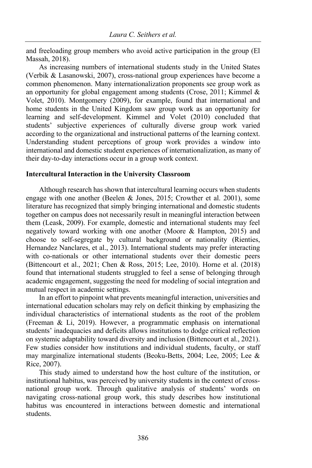and freeloading group members who avoid active participation in the group (El Massah, 2018).

As increasing numbers of international students study in the United States (Verbik & Lasanowski, 2007), cross-national group experiences have become a common phenomenon. Many internationalization proponents see group work as an opportunity for global engagement among students (Crose, 2011; Kimmel & Volet, 2010). Montgomery (2009), for example, found that international and home students in the United Kingdom saw group work as an opportunity for learning and self-development. Kimmel and Volet (2010) concluded that students' subjective experiences of culturally diverse group work varied according to the organizational and instructional patterns of the learning context. Understanding student perceptions of group work provides a window into international and domestic student experiences of internationalization, as many of their day-to-day interactions occur in a group work context.

#### **Intercultural Interaction in the University Classroom**

Although research has shown that intercultural learning occurs when students engage with one another (Beelen & Jones, 2015; Crowther et al. 2001), some literature has recognized that simply bringing international and domestic students together on campus does not necessarily result in meaningful interaction between them (Leask, 2009). For example, domestic and international students may feel negatively toward working with one another (Moore & Hampton, 2015) and choose to self-segregate by cultural background or nationality (Rienties, Hernandez Nanclares, et al., 2013). International students may prefer interacting with co-nationals or other international students over their domestic peers (Bittencourt et al., 2021; Chen & Ross, 2015; Lee, 2010). Horne et al. (2018) found that international students struggled to feel a sense of belonging through academic engagement, suggesting the need for modeling of social integration and mutual respect in academic settings.

In an effort to pinpoint what prevents meaningful interaction, universities and international education scholars may rely on deficit thinking by emphasizing the individual characteristics of international students as the root of the problem (Freeman & Li, 2019). However, a programmatic emphasis on international students' inadequacies and deficits allows institutions to dodge critical reflection on systemic adaptability toward diversity and inclusion (Bittencourt et al., 2021). Few studies consider how institutions and individual students, faculty, or staff may marginalize international students (Beoku-Betts, 2004; Lee, 2005; Lee & Rice, 2007).

This study aimed to understand how the host culture of the institution, or institutional habitus, was perceived by university students in the context of crossnational group work. Through qualitative analysis of students' words on navigating cross-national group work, this study describes how institutional habitus was encountered in interactions between domestic and international students.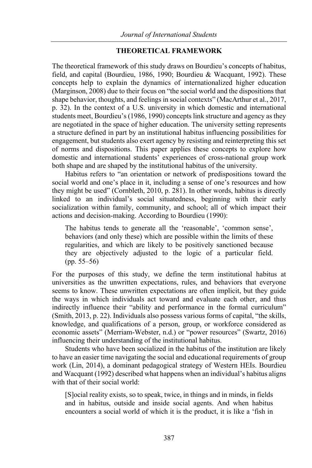## **THEORETICAL FRAMEWORK**

The theoretical framework of this study draws on Bourdieu's concepts of habitus, field, and capital (Bourdieu, 1986, 1990; Bourdieu & Wacquant, 1992). These concepts help to explain the dynamics of internationalized higher education (Marginson, 2008) due to their focus on "the social world and the dispositions that shape behavior, thoughts, and feelings in social contexts" (MacArthur et al., 2017, p. 32). In the context of a U.S. university in which domestic and international students meet, Bourdieu's (1986, 1990) concepts link structure and agency as they are negotiated in the space of higher education. The university setting represents a structure defined in part by an institutional habitus influencing possibilities for engagement, but students also exert agency by resisting and reinterpreting this set of norms and dispositions. This paper applies these concepts to explore how domestic and international students' experiences of cross-national group work both shape and are shaped by the institutional habitus of the university.

Habitus refers to "an orientation or network of predispositions toward the social world and one's place in it, including a sense of one's resources and how they might be used" (Cornbleth, 2010, p. 281). In other words, habitus is directly linked to an individual's social situatedness, beginning with their early socialization within family, community, and school; all of which impact their actions and decision-making. According to Bourdieu (1990):

The habitus tends to generate all the 'reasonable', 'common sense', behaviors (and only these) which are possible within the limits of these regularities, and which are likely to be positively sanctioned because they are objectively adjusted to the logic of a particular field. (pp. 55–56)

For the purposes of this study, we define the term institutional habitus at universities as the unwritten expectations, rules, and behaviors that everyone seems to know. These unwritten expectations are often implicit, but they guide the ways in which individuals act toward and evaluate each other, and thus indirectly influence their "ability and performance in the formal curriculum" (Smith, 2013, p. 22). Individuals also possess various forms of capital, "the skills, knowledge, and qualifications of a person, group, or workforce considered as economic assets" (Merriam-Webster, n.d.) or "power resources" (Swartz, 2016) influencing their understanding of the institutional habitus.

Students who have been socialized in the habitus of the institution are likely to have an easier time navigating the social and educational requirements of group work (Lin, 2014), a dominant pedagogical strategy of Western HEIs. Bourdieu and Wacquant (1992) described what happens when an individual's habitus aligns with that of their social world:

[S]ocial reality exists, so to speak, twice, in things and in minds, in fields and in habitus, outside and inside social agents. And when habitus encounters a social world of which it is the product, it is like a 'fish in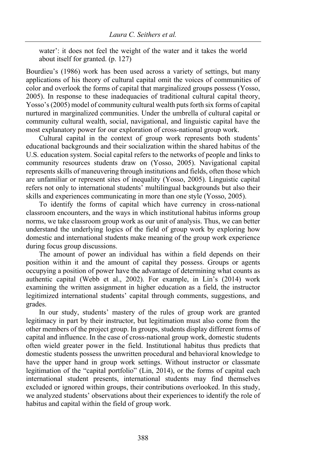water': it does not feel the weight of the water and it takes the world about itself for granted. (p. 127)

Bourdieu's (1986) work has been used across a variety of settings, but many applications of his theory of cultural capital omit the voices of communities of color and overlook the forms of capital that marginalized groups possess (Yosso, 2005). In response to these inadequacies of traditional cultural capital theory, Yosso's (2005) model of community cultural wealth puts forth six forms of capital nurtured in marginalized communities. Under the umbrella of cultural capital or community cultural wealth, social, navigational, and linguistic capital have the most explanatory power for our exploration of cross-national group work.

Cultural capital in the context of group work represents both students' educational backgrounds and their socialization within the shared habitus of the U.S. education system. Social capital refers to the networks of people and links to community resources students draw on (Yosso, 2005). Navigational capital represents skills of maneuvering through institutions and fields, often those which are unfamiliar or represent sites of inequality (Yosso, 2005). Linguistic capital refers not only to international students' multilingual backgrounds but also their skills and experiences communicating in more than one style (Yosso, 2005).

To identify the forms of capital which have currency in cross-national classroom encounters, and the ways in which institutional habitus informs group norms, we take classroom group work as our unit of analysis. Thus, we can better understand the underlying logics of the field of group work by exploring how domestic and international students make meaning of the group work experience during focus group discussions.

The amount of power an individual has within a field depends on their position within it and the amount of capital they possess. Groups or agents occupying a position of power have the advantage of determining what counts as authentic capital (Webb et al., 2002). For example, in Lin's (2014) work examining the written assignment in higher education as a field, the instructor legitimized international students' capital through comments, suggestions, and grades.

In our study, students' mastery of the rules of group work are granted legitimacy in part by their instructor, but legitimation must also come from the other members of the project group. In groups, students display different forms of capital and influence. In the case of cross-national group work, domestic students often wield greater power in the field. Institutional habitus thus predicts that domestic students possess the unwritten procedural and behavioral knowledge to have the upper hand in group work settings. Without instructor or classmate legitimation of the "capital portfolio" (Lin, 2014), or the forms of capital each international student presents, international students may find themselves excluded or ignored within groups, their contributions overlooked. In this study, we analyzed students' observations about their experiences to identify the role of habitus and capital within the field of group work.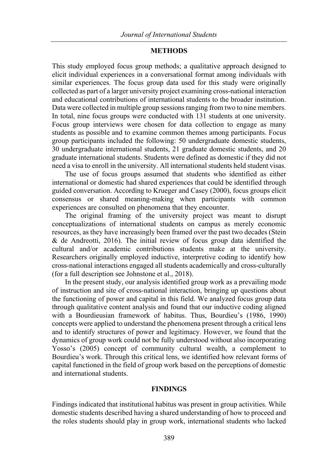### **METHODS**

This study employed focus group methods; a qualitative approach designed to elicit individual experiences in a conversational format among individuals with similar experiences. The focus group data used for this study were originally collected as part of a larger university project examining cross-national interaction and educational contributions of international students to the broader institution. Data were collected in multiple group sessions ranging from two to nine members. In total, nine focus groups were conducted with 131 students at one university. Focus group interviews were chosen for data collection to engage as many students as possible and to examine common themes among participants. Focus group participants included the following: 50 undergraduate domestic students, 30 undergraduate international students, 21 graduate domestic students, and 20 graduate international students. Students were defined as domestic if they did not need a visa to enroll in the university. All international students held student visas.

The use of focus groups assumed that students who identified as either international or domestic had shared experiences that could be identified through guided conversation. According to Krueger and Casey (2000), focus groups elicit consensus or shared meaning-making when participants with common experiences are consulted on phenomena that they encounter.

The original framing of the university project was meant to disrupt conceptualizations of international students on campus as merely economic resources, as they have increasingly been framed over the past two decades (Stein & de Andreotti, 2016). The initial review of focus group data identified the cultural and/or academic contributions students make at the university. Researchers originally employed inductive, interpretive coding to identify how cross-national interactions engaged all students academically and cross-culturally (for a full description see Johnstone et al., 2018).

In the present study, our analysis identified group work as a prevailing mode of instruction and site of cross-national interaction, bringing up questions about the functioning of power and capital in this field. We analyzed focus group data through qualitative content analysis and found that our inductive coding aligned with a Bourdieusian framework of habitus. Thus, Bourdieu's (1986, 1990) concepts were applied to understand the phenomena present through a critical lens and to identify structures of power and legitimacy. However, we found that the dynamics of group work could not be fully understood without also incorporating Yosso's (2005) concept of community cultural wealth, a complement to Bourdieu's work. Through this critical lens, we identified how relevant forms of capital functioned in the field of group work based on the perceptions of domestic and international students.

## **FINDINGS**

Findings indicated that institutional habitus was present in group activities. While domestic students described having a shared understanding of how to proceed and the roles students should play in group work, international students who lacked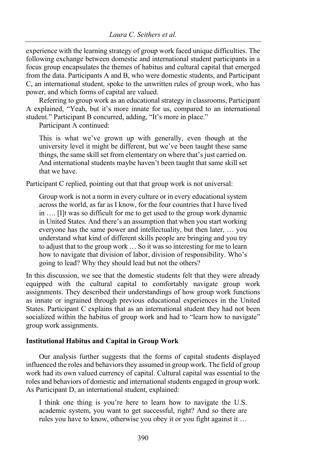experience with the learning strategy of group work faced unique difficulties. The following exchange between domestic and international student participants in a focus group encapsulates the themes of habitus and cultural capital that emerged from the data. Participants A and B, who were domestic students, and Participant C, an international student, spoke to the unwritten rules of group work, who has power, and which forms of capital are valued.

Referring to group work as an educational strategy in classrooms, Participant A explained, "Yeah, but it's more innate for us, compared to an international student." Participant B concurred, adding, "It's more in place."

Participant A continued:

This is what we've grown up with generally, even though at the university level it might be different, but we've been taught these same things, the same skill set from elementary on where that's just carried on. And international students maybe haven't been taught that same skill set that we have.

Participant C replied, pointing out that that group work is not universal:

Group work is not a norm in every culture or in every educational system across the world, as far as I know, for the four countries that I have lived in …. [I]t was so difficult for me to get used to the group work dynamic in United States. And there's an assumption that when you start working everyone has the same power and intellectuality, but then later, … you understand what kind of different skills people are bringing and you try to adjust that to the group work … So it was so interesting for me to learn how to navigate that division of labor, division of responsibility. Who's going to lead? Why they should lead but not the others?

In this discussion, we see that the domestic students felt that they were already equipped with the cultural capital to comfortably navigate group work assignments. They described their understandings of how group work functions as innate or ingrained through previous educational experiences in the United States. Participant C explains that as an international student they had not been socialized within the habitus of group work and had to "learn how to navigate" group work assignments.

## **Institutional Habitus and Capital in Group Work**

Our analysis further suggests that the forms of capital students displayed influenced the roles and behaviors they assumed in group work. The field of group work had its own valued currency of capital. Cultural capital was essential to the roles and behaviors of domestic and international students engaged in group work. As Participant D, an international student, explained:

I think one thing is you're here to learn how to navigate the U.S. academic system, you want to get successful, right? And so there are rules you have to know, otherwise you obey it or you fight against it …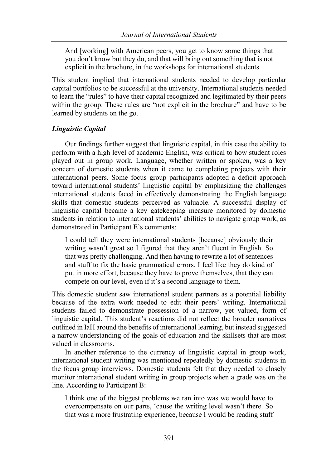And [working] with American peers, you get to know some things that you don't know but they do, and that will bring out something that is not explicit in the brochure, in the workshops for international students.

This student implied that international students needed to develop particular capital portfolios to be successful at the university. International students needed to learn the "rules" to have their capital recognized and legitimated by their peers within the group. These rules are "not explicit in the brochure" and have to be learned by students on the go.

## *Linguistic Capital*

Our findings further suggest that linguistic capital, in this case the ability to perform with a high level of academic English, was critical to how student roles played out in group work. Language, whether written or spoken, was a key concern of domestic students when it came to completing projects with their international peers. Some focus group participants adopted a deficit approach toward international students' linguistic capital by emphasizing the challenges international students faced in effectively demonstrating the English language skills that domestic students perceived as valuable. A successful display of linguistic capital became a key gatekeeping measure monitored by domestic students in relation to international students' abilities to navigate group work, as demonstrated in Participant E's comments:

I could tell they were international students [because] obviously their writing wasn't great so I figured that they aren't fluent in English. So that was pretty challenging. And then having to rewrite a lot of sentences and stuff to fix the basic grammatical errors. I feel like they do kind of put in more effort, because they have to prove themselves, that they can compete on our level, even if it's a second language to them.

This domestic student saw international student partners as a potential liability because of the extra work needed to edit their peers' writing. International students failed to demonstrate possession of a narrow, yet valued, form of linguistic capital. This student's reactions did not reflect the broader narratives outlined in IaH around the benefits of international learning, but instead suggested a narrow understanding of the goals of education and the skillsets that are most valued in classrooms.

In another reference to the currency of linguistic capital in group work, international student writing was mentioned repeatedly by domestic students in the focus group interviews. Domestic students felt that they needed to closely monitor international student writing in group projects when a grade was on the line. According to Participant B:

I think one of the biggest problems we ran into was we would have to overcompensate on our parts, 'cause the writing level wasn't there. So that was a more frustrating experience, because I would be reading stuff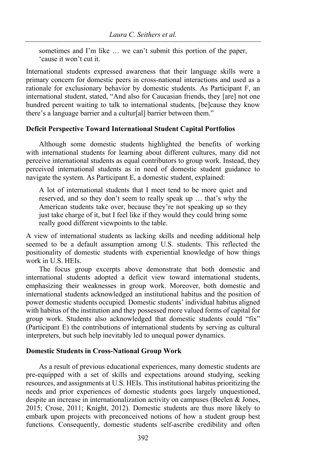sometimes and I'm like … we can't submit this portion of the paper, 'cause it won't cut it.

International students expressed awareness that their language skills were a primary concern for domestic peers in cross-national interactions and used as a rationale for exclusionary behavior by domestic students. As Participant F, an international student, stated, "And also for Caucasian friends, they [are] not one hundred percent waiting to talk to international students, [be]cause they know there's a language barrier and a cultur[al] barrier between them."

#### **Deficit Perspective Toward International Student Capital Portfolios**

Although some domestic students highlighted the benefits of working with international students for learning about different cultures, many did not perceive international students as equal contributors to group work. Instead, they perceived international students as in need of domestic student guidance to navigate the system. As Participant E, a domestic student, explained:

A lot of international students that I meet tend to be more quiet and reserved, and so they don't seem to really speak up … that's why the American students take over, because they're not speaking up so they just take charge of it, but I feel like if they would they could bring some really good different viewpoints to the table.

A view of international students as lacking skills and needing additional help seemed to be a default assumption among U.S. students. This reflected the positionality of domestic students with experiential knowledge of how things work in U.S. HEIs.

The focus group excerpts above demonstrate that both domestic and international students adopted a deficit view toward international students, emphasizing their weaknesses in group work. Moreover, both domestic and international students acknowledged an institutional habitus and the position of power domestic students occupied. Domestic students' individual habitus aligned with habitus of the institution and they possessed more valued forms of capital for group work. Students also acknowledged that domestic students could "fix" (Participant E) the contributions of international students by serving as cultural interpreters, but such help inevitably led to unequal power dynamics.

#### **Domestic Students in Cross-National Group Work**

As a result of previous educational experiences, many domestic students are pre-equipped with a set of skills and expectations around studying, seeking resources, and assignments at U.S. HEIs. This institutional habitus prioritizing the needs and prior experiences of domestic students goes largely unquestioned, despite an increase in internationalization activity on campuses (Beelen & Jones, 2015; Crose, 2011; Knight, 2012). Domestic students are thus more likely to embark upon projects with preconceived notions of how a student group best functions. Consequently, domestic students self-ascribe credibility and often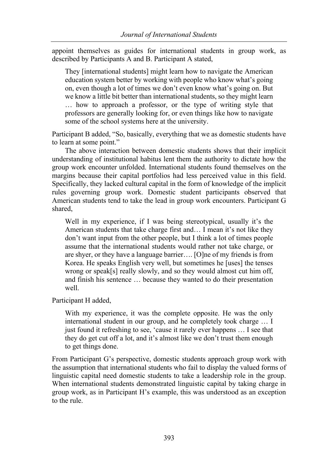appoint themselves as guides for international students in group work, as described by Participants A and B. Participant A stated,

They [international students] might learn how to navigate the American education system better by working with people who know what's going on, even though a lot of times we don't even know what's going on. But we know a little bit better than international students, so they might learn … how to approach a professor, or the type of writing style that professors are generally looking for, or even things like how to navigate some of the school systems here at the university.

Participant B added, "So, basically, everything that we as domestic students have to learn at some point."

The above interaction between domestic students shows that their implicit understanding of institutional habitus lent them the authority to dictate how the group work encounter unfolded. International students found themselves on the margins because their capital portfolios had less perceived value in this field. Specifically, they lacked cultural capital in the form of knowledge of the implicit rules governing group work. Domestic student participants observed that American students tend to take the lead in group work encounters. Participant G shared,

Well in my experience, if I was being stereotypical, usually it's the American students that take charge first and… I mean it's not like they don't want input from the other people, but I think a lot of times people assume that the international students would rather not take charge, or are shyer, or they have a language barrier…. [O]ne of my friends is from Korea. He speaks English very well, but sometimes he [uses] the tenses wrong or speak[s] really slowly, and so they would almost cut him off, and finish his sentence … because they wanted to do their presentation well.

Participant H added,

With my experience, it was the complete opposite. He was the only international student in our group, and he completely took charge … I just found it refreshing to see, 'cause it rarely ever happens … I see that they do get cut off a lot, and it's almost like we don't trust them enough to get things done.

From Participant G's perspective, domestic students approach group work with the assumption that international students who fail to display the valued forms of linguistic capital need domestic students to take a leadership role in the group. When international students demonstrated linguistic capital by taking charge in group work, as in Participant H's example, this was understood as an exception to the rule.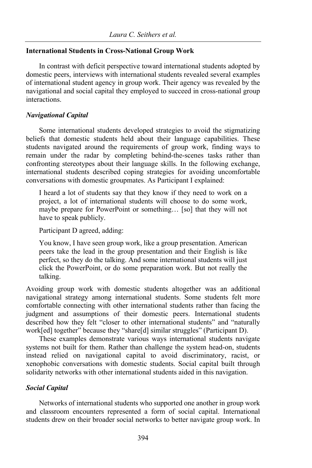## **International Students in Cross-National Group Work**

In contrast with deficit perspective toward international students adopted by domestic peers, interviews with international students revealed several examples of international student agency in group work. Their agency was revealed by the navigational and social capital they employed to succeed in cross-national group interactions.

#### *Navigational Capital*

Some international students developed strategies to avoid the stigmatizing beliefs that domestic students held about their language capabilities. These students navigated around the requirements of group work, finding ways to remain under the radar by completing behind-the-scenes tasks rather than confronting stereotypes about their language skills. In the following exchange, international students described coping strategies for avoiding uncomfortable conversations with domestic groupmates. As Participant I explained:

I heard a lot of students say that they know if they need to work on a project, a lot of international students will choose to do some work, maybe prepare for PowerPoint or something… [so] that they will not have to speak publicly.

Participant D agreed, adding:

You know, I have seen group work, like a group presentation. American peers take the lead in the group presentation and their English is like perfect, so they do the talking. And some international students will just click the PowerPoint, or do some preparation work. But not really the talking.

Avoiding group work with domestic students altogether was an additional navigational strategy among international students. Some students felt more comfortable connecting with other international students rather than facing the judgment and assumptions of their domestic peers. International students described how they felt "closer to other international students" and "naturally work[ed] together" because they "share[d] similar struggles" (Participant D).

These examples demonstrate various ways international students navigate systems not built for them. Rather than challenge the system head-on, students instead relied on navigational capital to avoid discriminatory, racist, or xenophobic conversations with domestic students. Social capital built through solidarity networks with other international students aided in this navigation.

## *Social Capital*

Networks of international students who supported one another in group work and classroom encounters represented a form of social capital. International students drew on their broader social networks to better navigate group work. In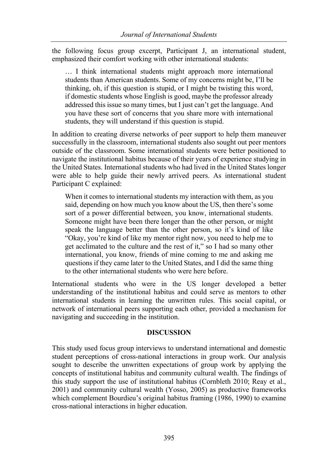the following focus group excerpt, Participant J, an international student, emphasized their comfort working with other international students:

… I think international students might approach more international students than American students. Some of my concerns might be, I'll be thinking, oh, if this question is stupid, or I might be twisting this word, if domestic students whose English is good, maybe the professor already addressed this issue so many times, but I just can't get the language. And you have these sort of concerns that you share more with international students, they will understand if this question is stupid.

In addition to creating diverse networks of peer support to help them maneuver successfully in the classroom, international students also sought out peer mentors outside of the classroom. Some international students were better positioned to navigate the institutional habitus because of their years of experience studying in the United States. International students who had lived in the United States longer were able to help guide their newly arrived peers. As international student Participant C explained:

When it comes to international students my interaction with them, as you said, depending on how much you know about the US, then there's some sort of a power differential between, you know, international students. Someone might have been there longer than the other person, or might speak the language better than the other person, so it's kind of like "Okay, you're kind of like my mentor right now, you need to help me to get acclimated to the culture and the rest of it," so I had so many other international, you know, friends of mine coming to me and asking me questions if they came later to the United States, and I did the same thing to the other international students who were here before.

International students who were in the US longer developed a better understanding of the institutional habitus and could serve as mentors to other international students in learning the unwritten rules. This social capital, or network of international peers supporting each other, provided a mechanism for navigating and succeeding in the institution.

## **DISCUSSION**

This study used focus group interviews to understand international and domestic student perceptions of cross-national interactions in group work. Our analysis sought to describe the unwritten expectations of group work by applying the concepts of institutional habitus and community cultural wealth. The findings of this study support the use of institutional habitus (Cornbleth 2010; Reay et al., 2001) and community cultural wealth (Yosso, 2005) as productive frameworks which complement Bourdieu's original habitus framing (1986, 1990) to examine cross-national interactions in higher education.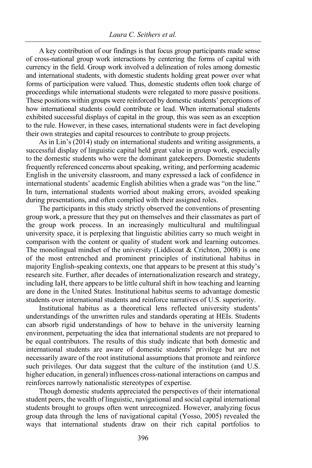A key contribution of our findings is that focus group participants made sense of cross-national group work interactions by centering the forms of capital with currency in the field. Group work involved a delineation of roles among domestic and international students, with domestic students holding great power over what forms of participation were valued. Thus, domestic students often took charge of proceedings while international students were relegated to more passive positions. These positions within groups were reinforced by domestic students' perceptions of how international students could contribute or lead. When international students exhibited successful displays of capital in the group, this was seen as an exception to the rule. However, in these cases, international students were in fact developing their own strategies and capital resources to contribute to group projects.

As in Lin's (2014) study on international students and writing assignments, a successful display of linguistic capital held great value in group work, especially to the domestic students who were the dominant gatekeepers. Domestic students frequently referenced concerns about speaking, writing, and performing academic English in the university classroom, and many expressed a lack of confidence in international students' academic English abilities when a grade was "on the line." In turn, international students worried about making errors, avoided speaking during presentations, and often complied with their assigned roles.

The participants in this study strictly observed the conventions of presenting group work, a pressure that they put on themselves and their classmates as part of the group work process. In an increasingly multicultural and multilingual university space, it is perplexing that linguistic abilities carry so much weight in comparison with the content or quality of student work and learning outcomes. The monolingual mindset of the university (Liddicoat & Crichton, 2008) is one of the most entrenched and prominent principles of institutional habitus in majority English-speaking contexts, one that appears to be present at this study's research site. Further, after decades of internationalization research and strategy, including IaH, there appears to be little cultural shift in how teaching and learning are done in the United States. Institutional habitus seems to advantage domestic students over international students and reinforce narratives of U.S. superiority.

Institutional habitus as a theoretical lens reflected university students' understandings of the unwritten rules and standards operating at HEIs. Students can absorb rigid understandings of how to behave in the university learning environment, perpetuating the idea that international students are not prepared to be equal contributors. The results of this study indicate that both domestic and international students are aware of domestic students' privilege but are not necessarily aware of the root institutional assumptions that promote and reinforce such privileges. Our data suggest that the culture of the institution (and U.S. higher education, in general) influences cross-national interactions on campus and reinforces narrowly nationalistic stereotypes of expertise.

Though domestic students appreciated the perspectives of their international student peers, the wealth of linguistic, navigational and social capital international students brought to groups often went unrecognized. However, analyzing focus group data through the lens of navigational capital (Yosso, 2005) revealed the ways that international students draw on their rich capital portfolios to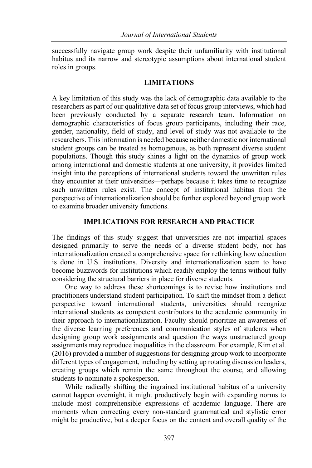successfully navigate group work despite their unfamiliarity with institutional habitus and its narrow and stereotypic assumptions about international student roles in groups.

### **LIMITATIONS**

A key limitation of this study was the lack of demographic data available to the researchers as part of our qualitative data set of focus group interviews, which had been previously conducted by a separate research team. Information on demographic characteristics of focus group participants, including their race, gender, nationality, field of study, and level of study was not available to the researchers. This information is needed because neither domestic nor international student groups can be treated as homogenous, as both represent diverse student populations. Though this study shines a light on the dynamics of group work among international and domestic students at one university, it provides limited insight into the perceptions of international students toward the unwritten rules they encounter at their universities—perhaps because it takes time to recognize such unwritten rules exist. The concept of institutional habitus from the perspective of internationalization should be further explored beyond group work to examine broader university functions.

# **IMPLICATIONS FOR RESEARCH AND PRACTICE**

The findings of this study suggest that universities are not impartial spaces designed primarily to serve the needs of a diverse student body, nor has internationalization created a comprehensive space for rethinking how education is done in U.S. institutions. Diversity and internationalization seem to have become buzzwords for institutions which readily employ the terms without fully considering the structural barriers in place for diverse students.

One way to address these shortcomings is to revise how institutions and practitioners understand student participation. To shift the mindset from a deficit perspective toward international students, universities should recognize international students as competent contributors to the academic community in their approach to internationalization. Faculty should prioritize an awareness of the diverse learning preferences and communication styles of students when designing group work assignments and question the ways unstructured group assignments may reproduce inequalities in the classroom. For example, Kim et al. (2016) provided a number of suggestions for designing group work to incorporate different types of engagement, including by setting up rotating discussion leaders, creating groups which remain the same throughout the course, and allowing students to nominate a spokesperson.

While radically shifting the ingrained institutional habitus of a university cannot happen overnight, it might productively begin with expanding norms to include most comprehensible expressions of academic language. There are moments when correcting every non-standard grammatical and stylistic error might be productive, but a deeper focus on the content and overall quality of the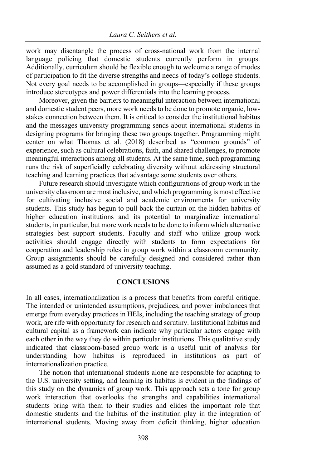work may disentangle the process of cross-national work from the internal language policing that domestic students currently perform in groups. Additionally, curriculum should be flexible enough to welcome a range of modes of participation to fit the diverse strengths and needs of today's college students. Not every goal needs to be accomplished in groups—especially if these groups introduce stereotypes and power differentials into the learning process.

Moreover, given the barriers to meaningful interaction between international and domestic student peers, more work needs to be done to promote organic, lowstakes connection between them. It is critical to consider the institutional habitus and the messages university programming sends about international students in designing programs for bringing these two groups together. Programming might center on what Thomas et al. (2018) described as "common grounds" of experience, such as cultural celebrations, faith, and shared challenges, to promote meaningful interactions among all students. At the same time, such programming runs the risk of superficially celebrating diversity without addressing structural teaching and learning practices that advantage some students over others.

Future research should investigate which configurations of group work in the university classroom are most inclusive, and which programming is most effective for cultivating inclusive social and academic environments for university students. This study has begun to pull back the curtain on the hidden habitus of higher education institutions and its potential to marginalize international students, in particular, but more work needs to be done to inform which alternative strategies best support students. Faculty and staff who utilize group work activities should engage directly with students to form expectations for cooperation and leadership roles in group work within a classroom community. Group assignments should be carefully designed and considered rather than assumed as a gold standard of university teaching.

## **CONCLUSIONS**

In all cases, internationalization is a process that benefits from careful critique. The intended or unintended assumptions, prejudices, and power imbalances that emerge from everyday practices in HEIs, including the teaching strategy of group work, are rife with opportunity for research and scrutiny. Institutional habitus and cultural capital as a framework can indicate why particular actors engage with each other in the way they do within particular institutions. This qualitative study indicated that classroom-based group work is a useful unit of analysis for understanding how habitus is reproduced in institutions as part of internationalization practice.

The notion that international students alone are responsible for adapting to the U.S. university setting, and learning its habitus is evident in the findings of this study on the dynamics of group work. This approach sets a tone for group work interaction that overlooks the strengths and capabilities international students bring with them to their studies and elides the important role that domestic students and the habitus of the institution play in the integration of international students. Moving away from deficit thinking, higher education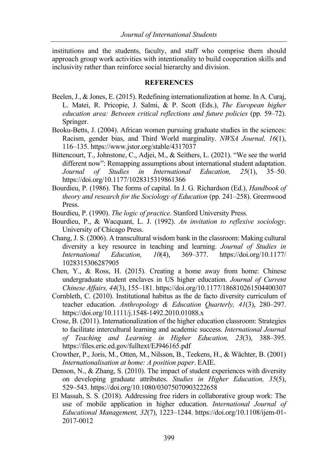institutions and the students, faculty, and staff who comprise them should approach group work activities with intentionality to build cooperation skills and inclusivity rather than reinforce social hierarchy and division.

#### **REFERENCES**

- Beelen, J., & Jones, E. (2015). Redefining internationalization at home. In A. Curaj, L. Matei, R. Pricopie, J. Salmi, & P. Scott (Eds.), *The European higher education area: Between critical reflections and future policies* (pp. 59–72). Springer.
- Beoku-Betts, J. (2004). African women pursuing graduate studies in the sciences: Racism, gender bias, and Third World marginality. *NWSA Journal, 16*(1), 116–135. https://www.jstor.org/stable/4317037
- Bittencourt, T., Johnstone, C., Adjei, M., & Seithers, L. (2021). "We see the world different now": Remapping assumptions about international student adaptation. *Journal of Studies in International Education, 25*(1), 35–50. https://doi.org/10.1177/1028315319861366
- Bourdieu, P. (1986). The forms of capital. In J. G. Richardson (Ed.), *Handbook of theory and research for the Sociology of Education* (pp. 241–258). Greenwood Press.
- Bourdieu, P. (1990). *The logic of practice*. Stanford University Press.
- Bourdieu, P., & Wacquant, L. J. (1992). *An invitation to reflexive sociology*. University of Chicago Press.
- Chang, J. S. (2006). A transcultural wisdom bank in the classroom: Making cultural diversity a key resource in teaching and learning. *Journal of Studies in International Education, 10*(4), 369–377. https://doi.org/10.1177/ 1028315306287905
- Chen, Y., & Ross, H. (2015). Creating a home away from home: Chinese undergraduate student enclaves in US higher education. *Journal of Current Chinese Affairs, 44*(3), 155–181. https://doi.org/10.1177/186810261504400307
- Cornbleth, C. (2010). Institutional habitus as the de facto diversity curriculum of teacher education. *Anthropology & Education Quarterly, 41*(3), 280–297. https://doi.org/10.1111/j.1548-1492.2010.01088.x
- Crose, B. (2011). Internationalization of the higher education classroom: Strategies to facilitate intercultural learning and academic success. *International Journal of Teaching and Learning in Higher Education, 23*(3), 388–395. https://files.eric.ed.gov/fulltext/EJ946165.pdf
- Crowther, P., Joris, M., Otten, M., Nilsson, B., Teekens, H., & Wächter, B. (2001) *Internationalisation at home: A position paper*. EAIE.
- Denson, N., & Zhang, S. (2010). The impact of student experiences with diversity on developing graduate attributes. *Studies in Higher Education, 35*(5), 529–543. https://doi.org/10.1080/03075070903222658
- El Massah, S. S. (2018). Addressing free riders in collaborative group work: The use of mobile application in higher education. *International Journal of Educational Management, 32*(7), 1223–1244. https://doi.org/10.1108/ijem-01- 2017-0012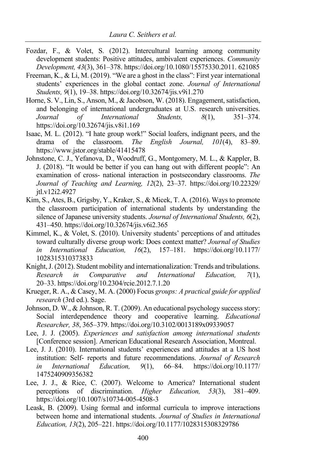- Fozdar, F., & Volet, S. (2012). Intercultural learning among community development students: Positive attitudes, ambivalent experiences. *Community Development, 43*(3), 361–378. https://doi.org/10.1080/15575330.2011. 621085
- Freeman, K., & Li, M. (2019). "We are a ghost in the class": First year international students' experiences in the global contact zone. *Journal of International Students, 9*(1), 19–38. https://doi.org/10.32674/jis.v9i1.270
- Horne, S. V., Lin, S., Anson, M., & Jacobson, W. (2018). Engagement, satisfaction, and belonging of international undergraduates at U.S. research universities. *Journal of International Students, 8*(1), 351–374. https://doi.org/10.32674/jis.v8i1.169
- Isaac, M. L. (2012). "I hate group work!" Social loafers, indignant peers, and the drama of the classroom. *The English Journal, 101*(4), 83–89. https://www.jstor.org/stable/41415478
- Johnstone, C. J., Yefanova, D., Woodruff, G., Montgomery, M. L., & Kappler, B. J. (2018). "It would be better if you can hang out with different people": An examination of cross- national interaction in postsecondary classrooms. *The Journal of Teaching and Learning, 12*(2), 23–37. https://doi.org/10.22329/ jtl.v12i2.4927
- Kim, S., Ates, B., Grigsby, Y., Kraker, S., & Micek, T. A. (2016). Ways to promote the classroom participation of international students by understanding the silence of Japanese university students. *Journal of International Students, 6*(2), 431–450. https://doi.org/10.32674/jis.v6i2.365
- Kimmel, K., & Volet, S. (2010). University students' perceptions of and attitudes toward culturally diverse group work: Does context matter? *Journal of Studies in International Education, 16*(2), 157–181. https://doi.org/10.1177/ 1028315310373833
- Knight, J. (2012). Student mobility and internationalization: Trends and tribulations. *Research in Comparative and International Education, 7*(1), 20–33. https://doi.org/10.2304/rcie.2012.7.1.20
- Krueger, R. A., & Casey, M. A. (2000) Focus *groups: A practical guide for applied research* (3rd ed.). Sage.
- Johnson, D. W., & Johnson, R. T. (2009). An educational psychology success story: Social interdependence theory and cooperative learning. *Educational Researcher, 38*, 365–379. https://doi.org/10.3102/0013189x09339057
- Lee, J. J. (2005). *Experiences and satisfaction among international students* [Conference session]. American Educational Research Association, Montreal.
- Lee, J. J. (2010). International students' experiences and attitudes at a US host institution: Self- reports and future recommendations. *Journal of Research in International Education, 9*(1), 66–84. https://doi.org/10.1177/ 1475240909356382
- Lee, J. J., & Rice, C. (2007). Welcome to America? International student perceptions of discrimination. *Higher Education, 53*(3), 381–409. https://doi.org/10.1007/s10734-005-4508-3
- Leask, B. (2009). Using formal and informal curricula to improve interactions between home and international students. *Journal of Studies in International Education, 13*(2), 205–221. https://doi.org/10.1177/1028315308329786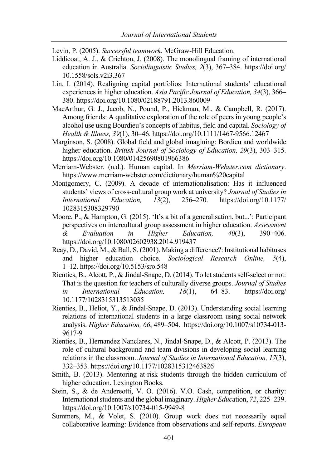Levin, P. (2005). *Successful teamwork*. McGraw-Hill Education.

- Liddicoat, A. J., & Crichton, J. (2008). The monolingual framing of international education in Australia. *Sociolinguistic Studies, 2*(3), 367–384. https://doi.org/ 10.1558/sols.v2i3.367
- Lin, I. (2014). Realigning capital portfolios: International students' educational experiences in higher education. *Asia Pacific Journal of Education, 34*(3), 366– 380. https://doi.org/10.1080/02188791.2013.860009
- MacArthur, G. J., Jacob, N., Pound, P., Hickman, M., & Campbell, R. (2017). Among friends: A qualitative exploration of the role of peers in young people's alcohol use using Bourdieu's concepts of habitus, field and capital. *Sociology of Health & Illness, 39*(1), 30–46. https://doi.org/10.1111/1467-9566.12467
- Marginson, S. (2008). Global field and global imagining: Bordieu and worldwide higher education. *British Journal of Sociology of Education, 29*(3), 303–315. https://doi.org/10.1080/01425690801966386
- Merriam-Webster. (n.d.). Human capital. In *Merriam-Webster.com dictionary*. https://www.merriam-webster.com/dictionary/human%20capital
- Montgomery, C. (2009). A decade of internationalisation: Has it influenced students' views of cross-cultural group work at university? *Journal of Studies in International Education, 13*(2), 256–270. https://doi.org/10.1177/ 1028315308329790
- Moore, P., & Hampton, G. (2015). 'It's a bit of a generalisation, but...': Participant perspectives on intercultural group assessment in higher education. *Assessment & Evaluation in Higher Education, 40*(3), 390–406. https://doi.org/10.1080/02602938.2014.919437
- Reay, D., David, M., & Ball, S. (2001). Making a difference?: Institutional habituses and higher education choice. *Sociological Research Online, 5*(4), 1–12. https://doi.org/10.5153/sro.548
- Rienties, B., Alcott, P., & Jindal-Snape, D. (2014). To let students self-select or not: That is the question for teachers of culturally diverse groups. *Journal of Studies in International Education, 18*(1), 64–83. https://doi.org/ 10.1177/1028315313513035
- Rienties, B., Heliot, Y., & Jindal-Snape, D. (2013). Understanding social learning relations of international students in a large classroom using social network analysis. *Higher Education, 66*, 489–504. https://doi.org/10.1007/s10734-013- 9617-9
- Rienties, B., Hernandez Nanclares, N., Jindal-Snape, D., & Alcott, P. (2013). The role of cultural background and team divisions in developing social learning relations in the classroom. *Journal of Studies in International Education, 17*(3), 332–353. https://doi.org/10.1177/1028315312463826
- Smith, B. (2013). Mentoring at-risk students through the hidden curriculum of higher education. Lexington Books.
- Stein, S., & de Andereotti, V. O. (2016). V.O. Cash, competition, or charity: International students and the global imaginary. *Higher Educ*ation, *72*, 225–239. https://doi.org/10.1007/s10734-015-9949-8
- Summers, M., & Volet, S. (2010). Group work does not necessarily equal collaborative learning: Evidence from observations and self-reports. *European*